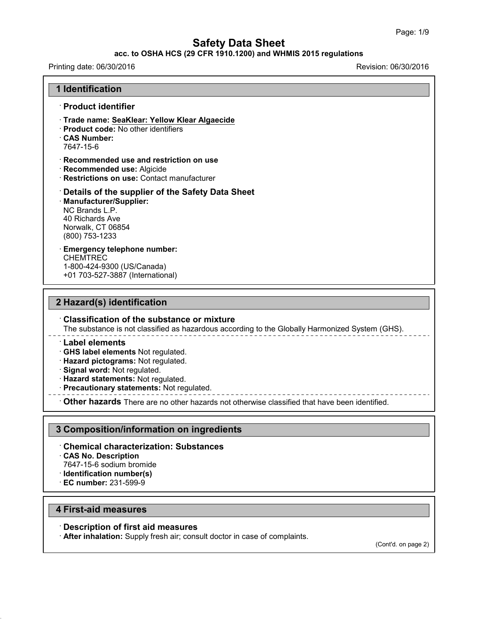#### **acc. to OSHA HCS (29 CFR 1910.1200) and WHMIS 2015 regulations**

Printing date: 06/30/2016 Revision: 06/30/2016

## **1 Identification** · **Product identifier** · **Trade name: SeaKlear: Yellow KlearAlgaecide** · **Product code:** No other identifiers · **CAS Number:** 7647-15-6 · **Recommended use and restriction on use** · **Recommended use:** Algicide · **Restrictions on use:** Contact manufacturer · **Details of the supplier of the Safety Data Sheet** · **Manufacturer/Supplier:** NC Brands L.P. 40 Richards Ave Norwalk, CT 06854 (800) 753-1233 · **Emergency telephone number:** CHEMTREC 1-800-424-9300 (US/Canada) +01 703-527-3887 (International)

### **2 Hazard(s) identification**

#### · **Classification of the substance or mixture**

The substance is not classified as hazardous according to the Globally Harmonized System (GHS).

#### · **Label elements**

· **GHS label elements** Not regulated.

- · **Hazard pictograms:** Not regulated.
- · **Signal word:** Not regulated.
- · **Hazard statements:** Not regulated.
- · **Precautionary statements:** Not regulated.

· **Other hazards** There are no other hazards nototherwise classified that have been identified.

### **3 Composition/information on ingredients**

### · **Chemical characterization: Substances**

- · **CAS No. Description**
- 7647-15-6 sodium bromide
- · **Identification number(s)**
- · **EC number:** 231-599-9

#### **4 First-aid measures**

43.0

#### · **Description of first aid measures**

· **After inhalation:** Supply fresh air; consult doctor in case of complaints.

(Cont'd. on page 2)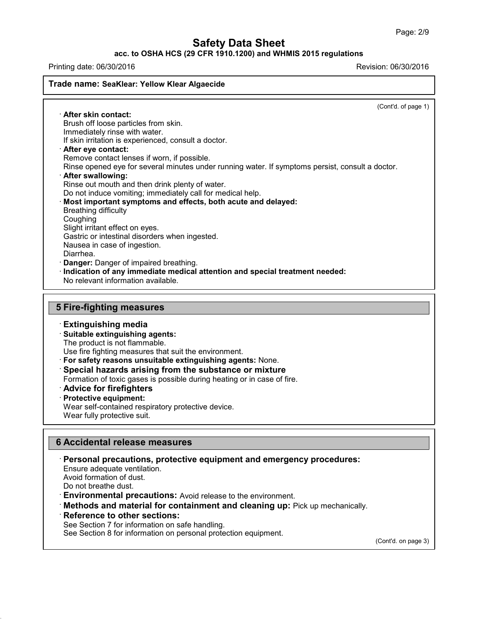### **acc. to OSHA HCS (29 CFR 1910.1200) and WHMIS 2015 regulations**

Printing date: 06/30/2016 Revision: 06/30/2016

#### **Trade name: SeaKlear: Yellow Klear Algaecide**

(Cont'd. of page 1)

· **After skin contact:** Brush off loose particles from skin. Immediately rinse with water. If skin irritation is experienced, consult a doctor. · **After eye contact:** Remove contact lenses if worn, if possible. Rinse opened eye for several minutes under running water. If symptoms persist, consult a doctor. · **After swallowing:** Rinse out mouth and then drink plenty of water. Do not induce vomiting; immediately call for medical help. · **Most important symptoms and effects, both acute and delayed:** Breathing difficulty Coughing Slight irritant effect on eyes. Gastric or intestinal disorders when ingested. Nausea in case of ingestion. Diarrhea. **Danger:** Danger of impaired breathing. · **Indication of any immediate medical attention and special treatment needed:** No relevant information available.

### **5 Fire-fighting measures**

### · **Extinguishing media**

· **Suitable extinguishing agents:** The product is not flammable.

Use fire fighting measures that suit the environment.

· **For safety reasons unsuitable extinguishing agents:** None.

· **Special hazards arising from the substance or mixture**

Formation of toxic gases is possible during heating or in case of fire.

- · **Advice for firefighters**
- · **Protective equipment:**

Wear self-contained respiratory protective device.

Wear fully protective suit.

### **6 Accidental release measures**

· **Personal precautions, protective equipment and emergency procedures:**

Ensure adequate ventilation.

Avoid formation of dust.

Do not breathe dust.

43.0

· **Environmental precautions:** Avoid release to the environment.

· **Methods and material for containment and cleaning up:** Pick up mechanically.

#### · **Reference to other sections:**

See Section 7 for information on safe handling.

See Section 8 for information on personal protection equipment.

(Cont'd. on page 3)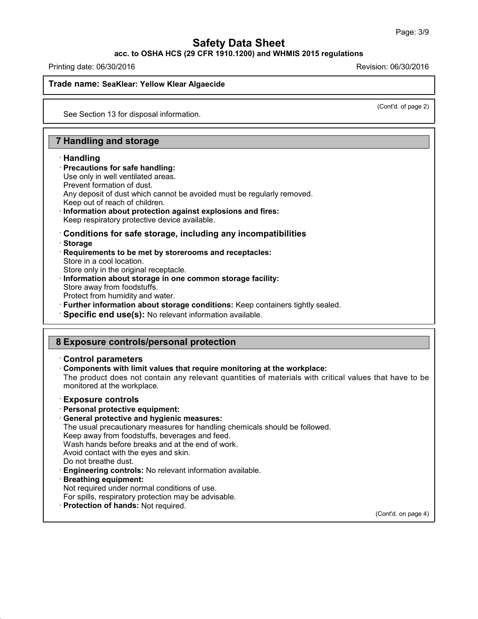**acc. to OSHA HCS (29 CFR 1910.1200) and WHMIS 2015 regulations**

Printing date: 06/30/2016 Revision: 06/30/2016

#### **Trade name: SeaKlear: Yellow Klear Algaecide**

(Cont'd. of page 2)

See Section 13 for disposal information.

### **7 Handling and storage**

#### · **Handling**

#### · **Precautions for safe handling:**

Use only in well ventilated areas. Prevent formation of dust. Any deposit of dust which cannot be avoided must be regularly removed. Keep out of reach of children.

· **Information about protection against explosions and fires:** Keep respiratory protective device available.

· **Conditions for safe storage, including any incompatibilities** · **Storage**

- · **Requirements to be met by storerooms and receptacles:**
- Store in a cool location.

Store only in the original receptacle.

- · **Information about storage in one common storage facility:**
- Store away from foodstuffs.

Protect from humidity and water.

· **Further information about storage conditions:** Keep containers tightly sealed.

· **Specific end use(s):** No relevant information available.

### **8 Exposure controls/personal protection**

#### · **Control parameters**

· **Components with limit values that require monitoring at the workplace:**

The product does not contain any relevant quantities of materials with critical values that have to be monitored at the workplace.

#### · **Exposure controls**

- · **Personal protective equipment:**
- · **General protective and hygienic measures:**

The usual precautionary measures for handling chemicals should be followed.

Keep away from foodstuffs, beverages and feed.

Wash hands before breaks and at the end of work.

Avoid contact with the eyes and skin.

- Do not breathe dust.
- · **Engineering controls:** No relevant information available.
- · **Breathing equipment:**

43.0

- Not required under normal conditions of use.
- For spills, respiratory protection may be advisable.
- · **Protection of hands:** Not required.

(Cont'd. on page 4)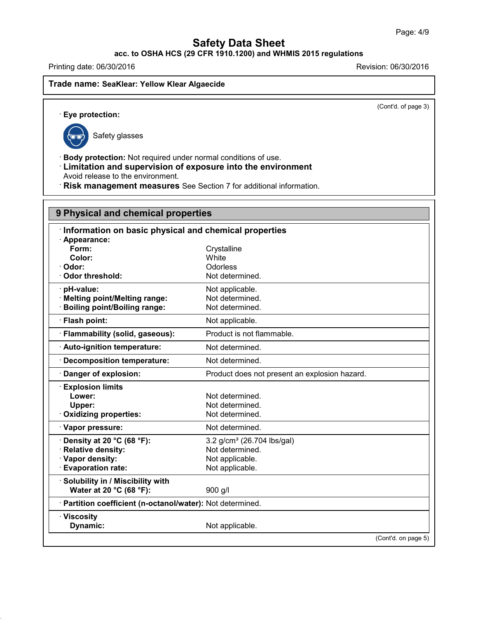**acc. to OSHA HCS (29 CFR 1910.1200) and WHMIS 2015 regulations**

Printing date: 06/30/2016 **Revision: 06/30/2016** 

**Trade name: SeaKlear: Yellow Klear Algaecide**

(Cont'd. of page 3)

· **Eye protection:**



43.0

Safety glasses

· **Body protection:** Not required under normal conditions of use.

· **Limitation and supervision of exposure into the environment** Avoid release to the environment.

· **Risk management measures** See Section 7 for additional information.

| 9 Physical and chemical properties                       |  |  |
|----------------------------------------------------------|--|--|
| Information on basic physical and chemical properties    |  |  |
|                                                          |  |  |
| Crystalline                                              |  |  |
| White                                                    |  |  |
| Odorless                                                 |  |  |
| Not determined.                                          |  |  |
| Not applicable.                                          |  |  |
| Not determined.                                          |  |  |
| Not determined.                                          |  |  |
| Not applicable.                                          |  |  |
| Product is not flammable.                                |  |  |
| Not determined.                                          |  |  |
| Not determined.                                          |  |  |
| Product does not present an explosion hazard.            |  |  |
|                                                          |  |  |
| Not determined.                                          |  |  |
| Not determined.                                          |  |  |
| Not determined.                                          |  |  |
| Not determined.                                          |  |  |
| 3.2 g/cm <sup>3</sup> (26.704 lbs/gal)                   |  |  |
| Not determined.                                          |  |  |
| Not applicable.                                          |  |  |
| Not applicable.                                          |  |  |
|                                                          |  |  |
| 900 g/l                                                  |  |  |
| Partition coefficient (n-octanol/water): Not determined. |  |  |
|                                                          |  |  |
| Not applicable.                                          |  |  |
|                                                          |  |  |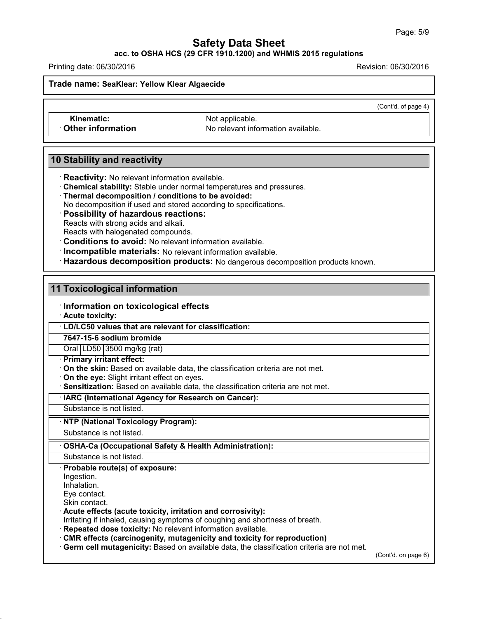#### **acc. to OSHA HCS (29 CFR 1910.1200) and WHMIS 2015 regulations**

Printing date: 06/30/2016 Revision: 06/30/2016

**Trade name: SeaKlear: Yellow Klear Algaecide**

(Cont'd. of page 4)

**Kinematic:** Not applicable.

**Other information** No relevant information available.

### **10 Stability and reactivity**

· **Reactivity:** No relevant information available.

- · **Chemical stability:** Stable under normal temperatures and pressures.
- · **Thermal decomposition / conditions to be avoided:**
- No decomposition if used and stored according to specifications.

· **Possibility of hazardous reactions:**

Reacts with strong acids and alkali.

Reacts with halogenated compounds.

· **Conditions to avoid:** No relevant information available.

· **Incompatible materials:** No relevant information available.

· **Hazardous decomposition products:** No dangerous decomposition products known.

### **11 Toxicological information**

### · **Information on toxicological effects**

· **Acute toxicity:**

· **LD/LC50 values that are relevant for classification:**

**7647-15-6 sodium bromide**

Oral LD50 3500 mg/kg (rat)

- · **Primary irritant effect:**
- · **On the skin:** Based on available data, the classification criteria are not met.

· **On the eye:** Slight irritant effect on eyes.

· **Sensitization:** Based on available data, the classification criteria are not met.

#### · **IARC (International Agency for Research on Cancer):**

Substance is not listed.

### · **NTP (National Toxicology Program):**

Substance is not listed.

### · **OSHA-Ca (Occupational Safety & Health Administration):**

Substance is not listed.

#### · **Probable route(s) of exposure:**

Ingestion.

Inhalation.

Eye contact.

Skin contact.

43.0

### · **Acute effects (acute toxicity, irritation and corrosivity):**

Irritating if inhaled, causing symptoms of coughing and shortness of breath.

· **Repeated dose toxicity:** No relevant information available.

· **CMR effects (carcinogenity, mutagenicity and toxicity for reproduction)**

· **Germ cell mutagenicity:** Based on available data, the classification criteria are not met.

(Cont'd. on page 6)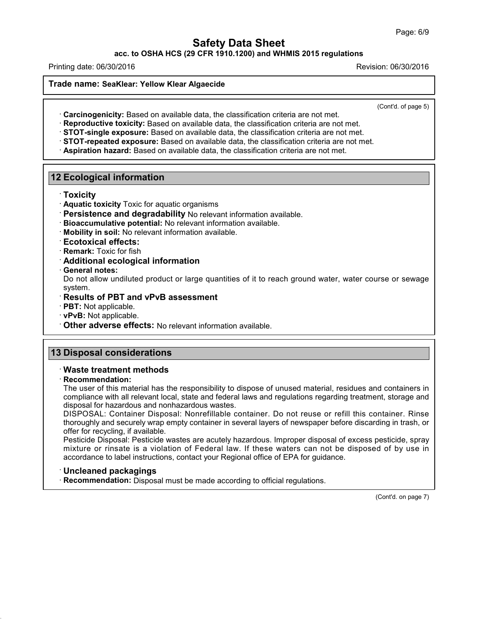**acc. to OSHA HCS (29 CFR 1910.1200) and WHMIS 2015 regulations**

Printing date: 06/30/2016 Revision: 06/30/2016

**Trade name: SeaKlear: Yellow Klear Algaecide**

(Cont'd. of page 5)

- · **Carcinogenicity:** Based on available data, the classification criteria are not met.
- · **Reproductive toxicity:** Based on available data, the classification criteria are not met.
- · **STOT-single exposure:** Based on available data, the classification criteria are not met.
- · **STOT-repeated exposure:** Based on available data, the classification criteria are not met.
- · **Aspiration hazard:** Based on available data, the classification criteria are not met.

### **12 Ecological information**

- · **Toxicity**
- · **Aquatic toxicity** Toxic for aquatic organisms
- · **Persistence and degradability** No relevant information available.
- · **Bioaccumulative potential:** No relevant information available.
- · **Mobility in soil:** No relevant information available.

#### · **Ecotoxical effects:**

- · **Remark:** Toxic for fish
- · **Additional ecological information**
- · **General notes:**

Do not allow undiluted product or large quantities of it to reach ground water, water course or sewage system.

#### · **Results of PBT and vPvB assessment**

· **PBT:** Not applicable.

- · **vPvB:** Not applicable.
- · **Other adverse effects:** No relevant information available.

## **13 Disposal considerations**

### · **Waste treatment methods**

#### · **Recommendation:**

The user of this material has the responsibility to dispose of unused material, residues and containers in compliance with all relevant local, state and federal laws and regulations regarding treatment, storage and disposal for hazardous and nonhazardous wastes.

DISPOSAL: Container Disposal: Nonrefillable container. Do not reuse or refill this container. Rinse thoroughly and securely wrap empty container in several layers of newspaper before discarding in trash, or offer for recycling, if available.

Pesticide Disposal: Pesticide wastes are acutely hazardous. Improper disposal of excess pesticide, spray mixture or rinsate is a violation of Federal law. If these waters can not be disposed of by use in accordance to label instructions, contact your Regional office of EPA for guidance.

### · **Uncleaned packagings**

43.0

· **Recommendation:** Disposal must be made according to official regulations.

(Cont'd. on page 7)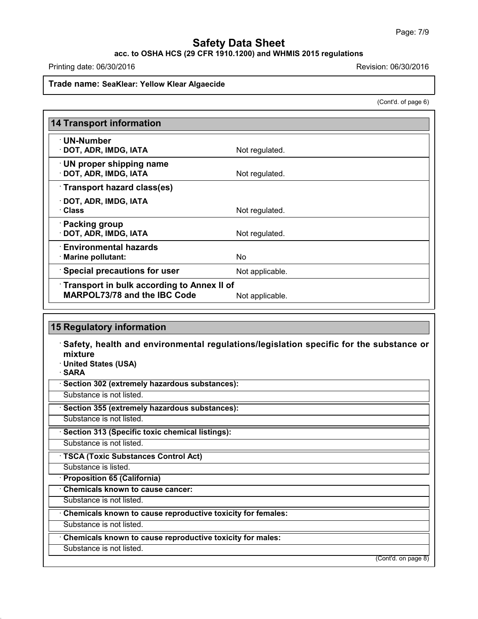**acc. to OSHA HCS (29 CFR 1910.1200) and WHMIS 2015 regulations**

Printing date: 06/30/2016 Revision: 06/30/2016

#### **Trade name: SeaKlear: Yellow Klear Algaecide**

(Cont'd. of page 6)

| <b>14 Transport information</b>                                                   |                 |
|-----------------------------------------------------------------------------------|-----------------|
| · UN-Number<br>· DOT, ADR, IMDG, IATA                                             | Not regulated.  |
| <b>UN proper shipping name</b><br>· DOT, ADR, IMDG, IATA                          | Not regulated.  |
| Transport hazard class(es)                                                        |                 |
| · DOT, ADR, IMDG, IATA<br><b>· Class</b>                                          | Not regulated.  |
| · Packing group<br>· DOT, ADR, IMDG, IATA                                         | Not regulated.  |
| $\cdot$ Environmental hazards<br>· Marine pollutant:                              | No.             |
| <b>Special precautions for user</b>                                               | Not applicable. |
| Transport in bulk according to Annex II of<br><b>MARPOL73/78 and the IBC Code</b> | Not applicable. |

## **15 Regulatory information**

· **Safety, health and environmental regulations/legislation specific for the substance or mixture**

· **United States (USA)**

· **SARA**

· **Section 302 (extremely hazardous substances):**

Substance is not listed.

· **Section 355 (extremely hazardous substances):**

Substance is not listed.

· **Section 313 (Specific toxic chemical listings):**

Substance is not listed.

· **TSCA (Toxic Substances Control Act)**

Substance is listed.

· **Proposition 65 (California)**

· **Chemicals known to cause cancer:**

Substance is not listed.

· **Chemicals known to cause reproductive toxicity for females:**

Substance is not listed.

· **Chemicals known to cause reproductive toxicity for males:**

Substance is not listed.

43.0

(Cont'd. on page 8)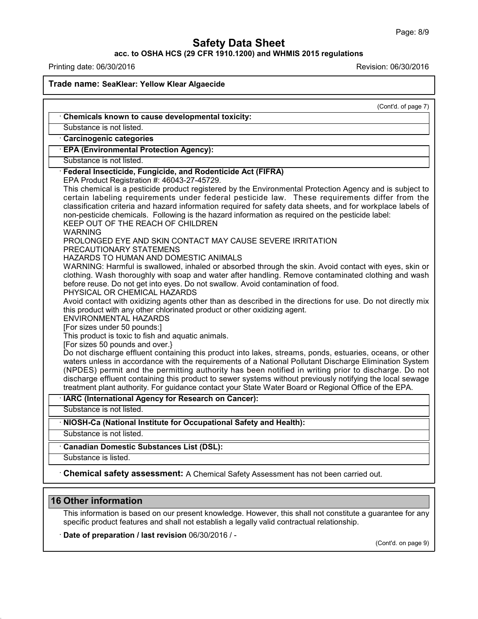### **acc. to OSHA HCS (29 CFR 1910.1200) and WHMIS 2015 regulations**

Printing date: 06/30/2016 Revision: 06/30/2016

**Trade name: SeaKlear: Yellow Klear Algaecide** (Cont'd. of page 7) · **Chemicals known to cause developmental toxicity:** Substance is not listed. · **Carcinogenic categories** · **EPA (Environmental Protection Agency):** Substance is not listed. · **Federal Insecticide, Fungicide, and Rodenticide Act (FIFRA)** EPA Product Registration #: 46043-27-45729. This chemical is a pesticide product registered by the Environmental Protection Agency and is subject to certain labeling requirements under federal pesticide law. These requirements differ from the classification criteria and hazard information required for safety data sheets, and for workplace labels of non-pesticide chemicals. Following is the hazard information as required on the pesticide label: KEEP OUT OF THE REACH OF CHILDREN WARNING PROLONGED EYE AND SKIN CONTACT MAY CAUSE SEVERE IRRITATION PRECAUTIONARY STATEMENS HAZARDS TO HUMAN AND DOMESTIC ANIMALS WARNING: Harmful is swallowed, inhaled or absorbed through the skin. Avoid contact with eyes, skin or clothing. Wash thoroughly with soap and water after handling. Remove contaminated clothing and wash before reuse. Do not get into eyes. Do not swallow. Avoid contamination of food. PHYSICAL OR CHEMICAL HAZARDS Avoid contact with oxidizing agents other than as described in the directions for use. Do not directly mix this product with any other chlorinated product or other oxidizing agent. ENVIRONMENTAL HAZARDS [For sizes under 50 pounds:] This product is toxic to fish and aquatic animals. [For sizes 50 pounds and over.} Do not discharge effluent containing this product into lakes, streams, ponds, estuaries, oceans, or other waters unless in accordance with the requirements of a National Pollutant Discharge Elimination System (NPDES) permit and the permitting authority has been notified in writing prior to discharge. Do not discharge effluent containing this product to sewer systems without previously notifying the local sewage treatment plant authority. For guidance contact your State Water Board or Regional Office of the EPA. · **IARC (International Agency for Research on Cancer):** Substance is not listed. · **NIOSH-Ca (National Institute for Occupational Safety and Health):** Substance is not listed. · **Canadian Domestic Substances List (DSL):** Substance is listed. · **Chemical safety assessment:** A Chemical Safety Assessment has notbeen carried out.

### **16 Other information**

43.0

This information is based on our present knowledge. However, this shall not constitute a guarantee for any specific product features and shall not establish a legally valid contractual relationship.

· **Date of preparation / last revision** 06/30/2016 / -

(Cont'd. on page 9)